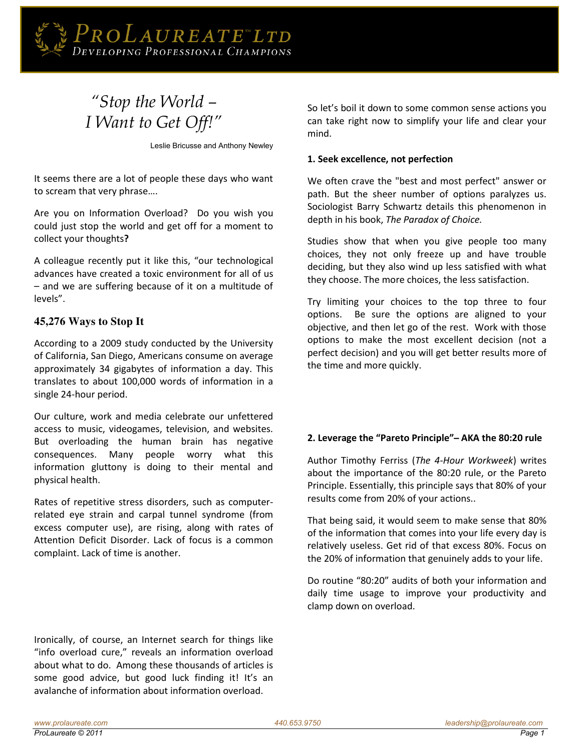

# *"Stop the World – I Want to Get Off!"*

Leslie Bricusse and Anthony Newley

It seems there are a lot of people these days who want to scream that very phrase....

Are you on Information Overload? Do you wish you could just stop the world and get off for a moment to collect your thoughts**?** 

A colleague recently put it like this, "our technological advances have created a toxic environment for all of us – and we are suffering because of it on a multitude of levels".

# **45,276 Ways to Stop It**

According to a 2009 study conducted by the University of California, San Diego, Americans consume on average approximately 34 gigabytes of information a day. This translates to about 100,000 words of information in a single 24-hour period.

Our culture, work and media celebrate our unfettered access to music, videogames, television, and websites. But overloading the human brain has negative consequences. Many people worry what this information gluttony is doing to their mental and physical health.

Rates of repetitive stress disorders, such as computerrelated eye strain and carpal tunnel syndrome (from excess computer use), are rising, along with rates of Attention Deficit Disorder. Lack of focus is a common complaint. Lack of time is another.

Ironically, of course, an Internet search for things like "info overload cure," reveals an information overload about what to do. Among these thousands of articles is some good advice, but good luck finding it! It's an avalanche of information about information overload.

So let's boil it down to some common sense actions you can take right now to simplify your life and clear your mind.

#### **1. Seek excellence, not perfection**

We often crave the "best and most perfect" answer or path. But the sheer number of options paralyzes us. Sociologist Barry Schwartz details this phenomenon in depth in his book, *The Paradox of Choice.*

Studies show that when you give people too many choices, they not only freeze up and have trouble deciding, but they also wind up less satisfied with what they choose. The more choices, the less satisfaction.

Try limiting your choices to the top three to four options. Be sure the options are aligned to your objective, and then let go of the rest. Work with those options to make the most excellent decision (not a perfect decision) and you will get better results more of the time and more quickly.

# **Ϯ. Leǀerage the ͞Pareto Principle͟ ̶ AKA the 80:20 rule**

Author Timothy Ferriss (*The 4-Hour Workweek*) writes about the importance of the 80:20 rule, or the Pareto Principle. Essentially, this principle says that 80% of your results come from 20% of your actions..

That being said, it would seem to make sense that 80% of the information that comes into your life every day is relatively useless. Get rid of that excess 80%. Focus on the 20% of information that genuinely adds to your life.

Do routine "80:20" audits of both your information and daily time usage to improve your productivity and clamp down on overload.